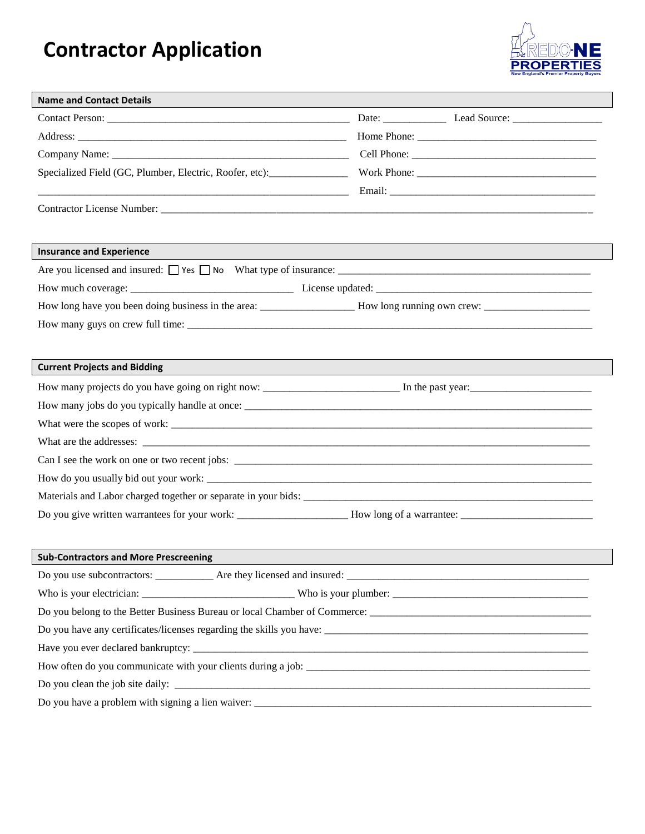## **Contractor Application**



| <b>Name and Contact Details</b>                                                                                                                                                                                                |             |  |  |  |  |  |
|--------------------------------------------------------------------------------------------------------------------------------------------------------------------------------------------------------------------------------|-------------|--|--|--|--|--|
| Contact Person: 2008 and 2008 and 2008 and 2008 and 2008 and 2008 and 2008 and 2008 and 2008 and 2008 and 2008 and 2008 and 2008 and 2008 and 2008 and 2008 and 2008 and 2008 and 2008 and 2008 and 2008 and 2008 and 2008 and |             |  |  |  |  |  |
|                                                                                                                                                                                                                                | Home Phone: |  |  |  |  |  |
|                                                                                                                                                                                                                                |             |  |  |  |  |  |
| Specialized Field (GC, Plumber, Electric, Roofer, etc):                                                                                                                                                                        |             |  |  |  |  |  |
|                                                                                                                                                                                                                                |             |  |  |  |  |  |
|                                                                                                                                                                                                                                |             |  |  |  |  |  |
|                                                                                                                                                                                                                                |             |  |  |  |  |  |
| <b>Insurance and Experience</b>                                                                                                                                                                                                |             |  |  |  |  |  |
|                                                                                                                                                                                                                                |             |  |  |  |  |  |
|                                                                                                                                                                                                                                |             |  |  |  |  |  |
|                                                                                                                                                                                                                                |             |  |  |  |  |  |
|                                                                                                                                                                                                                                |             |  |  |  |  |  |
|                                                                                                                                                                                                                                |             |  |  |  |  |  |
| <b>Current Projects and Bidding</b>                                                                                                                                                                                            |             |  |  |  |  |  |
|                                                                                                                                                                                                                                |             |  |  |  |  |  |
|                                                                                                                                                                                                                                |             |  |  |  |  |  |
|                                                                                                                                                                                                                                |             |  |  |  |  |  |
|                                                                                                                                                                                                                                |             |  |  |  |  |  |
|                                                                                                                                                                                                                                |             |  |  |  |  |  |
|                                                                                                                                                                                                                                |             |  |  |  |  |  |
|                                                                                                                                                                                                                                |             |  |  |  |  |  |
|                                                                                                                                                                                                                                |             |  |  |  |  |  |
|                                                                                                                                                                                                                                |             |  |  |  |  |  |
| <b>Sub-Contractors and More Prescreening</b>                                                                                                                                                                                   |             |  |  |  |  |  |
|                                                                                                                                                                                                                                |             |  |  |  |  |  |
|                                                                                                                                                                                                                                |             |  |  |  |  |  |
|                                                                                                                                                                                                                                |             |  |  |  |  |  |
|                                                                                                                                                                                                                                |             |  |  |  |  |  |
|                                                                                                                                                                                                                                |             |  |  |  |  |  |
|                                                                                                                                                                                                                                |             |  |  |  |  |  |
|                                                                                                                                                                                                                                |             |  |  |  |  |  |
|                                                                                                                                                                                                                                |             |  |  |  |  |  |
|                                                                                                                                                                                                                                |             |  |  |  |  |  |